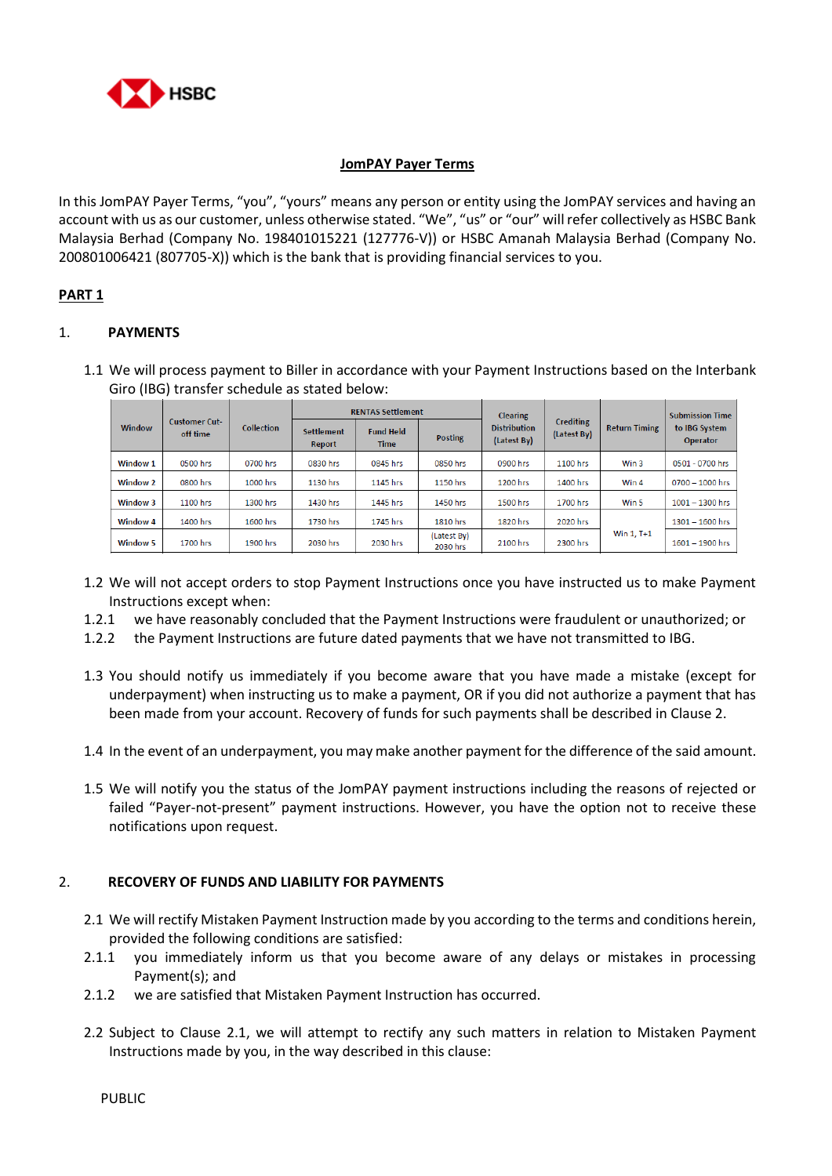

## **JomPAY Payer Terms**

In this JomPAY Payer Terms, "you", "yours" means any person or entity using the JomPAY services and having an account with us as our customer, unless otherwise stated. "We", "us" or "our" will refer collectively as HSBC Bank Malaysia Berhad (Company No. 198401015221 (127776-V)) or HSBC Amanah Malaysia Berhad (Company No. 200801006421 (807705-X)) which is the bank that is providing financial services to you.

# **PART 1**

# 1. **PAYMENTS**

1.1 We will process payment to Biller in accordance with your Payment Instructions based on the Interbank Giro (IBG) transfer schedule as stated below:

| Window   | <b>Customer Cut-</b><br>off time | <b>Collection</b> | <b>RENTAS Settlement</b>    |                                 |                         | <b>Clearing</b>                    |                                 |                      | <b>Submission Time</b>    |
|----------|----------------------------------|-------------------|-----------------------------|---------------------------------|-------------------------|------------------------------------|---------------------------------|----------------------|---------------------------|
|          |                                  |                   | <b>Settlement</b><br>Report | <b>Fund Held</b><br><b>Time</b> | <b>Posting</b>          | <b>Distribution</b><br>(Latest By) | <b>Crediting</b><br>(Latest By) | <b>Return Timing</b> | to IBG System<br>Operator |
| Window 1 | 0500 hrs                         | 0700 hrs          | 0830 hrs                    | 0845 hrs                        | 0850 hrs                | 0900 hrs                           | 1100 hrs                        | Win 3                | 0501 - 0700 hrs           |
| Window 2 | 0800 hrs                         | 1000 hrs          | 1130 hrs                    | 1145 hrs                        | 1150 hrs                | 1200 hrs                           | 1400 hrs                        | Win 4                | 0700 - 1000 hrs           |
| Window 3 | 1100 hrs                         | 1300 hrs          | 1430 hrs                    | 1445 hrs                        | 1450 hrs                | 1500 hrs                           | 1700 hrs                        | Win 5                | $1001 - 1300$ hrs         |
| Window 4 | 1400 hrs                         | 1600 hrs          | 1730 hrs                    | 1745 hrs                        | 1810 hrs                | 1820 hrs                           | 2020 hrs                        |                      | $1301 - 1600$ hrs         |
| Window 5 | 1700 hrs                         | 1900 hrs          | 2030 hrs                    | 2030 hrs                        | (Latest By)<br>2030 hrs | 2100 hrs                           | 2300 hrs                        | Win 1, T+1           | $1601 - 1900$ hrs         |

- 1.2 We will not accept orders to stop Payment Instructions once you have instructed us to make Payment Instructions except when:
- 1.2.1 we have reasonably concluded that the Payment Instructions were fraudulent or unauthorized; or
- 1.2.2 the Payment Instructions are future dated payments that we have not transmitted to IBG.
- 1.3 You should notify us immediately if you become aware that you have made a mistake (except for underpayment) when instructing us to make a payment, OR if you did not authorize a payment that has been made from your account. Recovery of funds for such payments shall be described in Clause 2.
- 1.4 In the event of an underpayment, you may make another payment for the difference of the said amount.
- 1.5 We will notify you the status of the JomPAY payment instructions including the reasons of rejected or failed "Payer-not-present" payment instructions. However, you have the option not to receive these notifications upon request.

## 2. **RECOVERY OF FUNDS AND LIABILITY FOR PAYMENTS**

- 2.1 We will rectify Mistaken Payment Instruction made by you according to the terms and conditions herein, provided the following conditions are satisfied:
- 2.1.1 you immediately inform us that you become aware of any delays or mistakes in processing Payment(s); and
- 2.1.2 we are satisfied that Mistaken Payment Instruction has occurred.
- 2.2 Subject to Clause 2.1, we will attempt to rectify any such matters in relation to Mistaken Payment Instructions made by you, in the way described in this clause: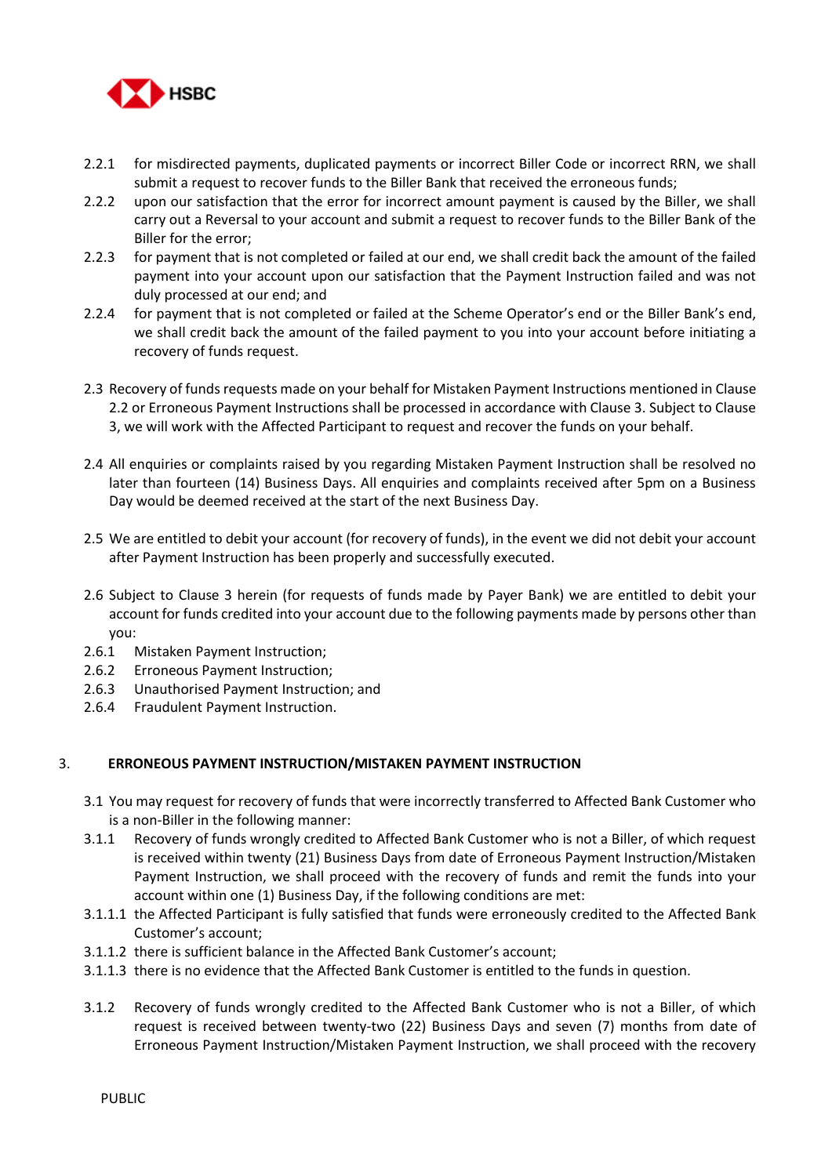

- 2.2.1 for misdirected payments, duplicated payments or incorrect Biller Code or incorrect RRN, we shall submit a request to recover funds to the Biller Bank that received the erroneous funds;
- 2.2.2 upon our satisfaction that the error for incorrect amount payment is caused by the Biller, we shall carry out a Reversal to your account and submit a request to recover funds to the Biller Bank of the Biller for the error;
- 2.2.3 for payment that is not completed or failed at our end, we shall credit back the amount of the failed payment into your account upon our satisfaction that the Payment Instruction failed and was not duly processed at our end; and
- 2.2.4 for payment that is not completed or failed at the Scheme Operator's end or the Biller Bank's end, we shall credit back the amount of the failed payment to you into your account before initiating a recovery of funds request.
- 2.3 Recovery of funds requests made on your behalf for Mistaken Payment Instructions mentioned in Clause 2.2 or Erroneous Payment Instructions shall be processed in accordance with Clause 3. Subject to Clause 3, we will work with the Affected Participant to request and recover the funds on your behalf.
- 2.4 All enquiries or complaints raised by you regarding Mistaken Payment Instruction shall be resolved no later than fourteen (14) Business Days. All enquiries and complaints received after 5pm on a Business Day would be deemed received at the start of the next Business Day.
- 2.5 We are entitled to debit your account (for recovery of funds), in the event we did not debit your account after Payment Instruction has been properly and successfully executed.
- 2.6 Subject to Clause 3 herein (for requests of funds made by Payer Bank) we are entitled to debit your account for funds credited into your account due to the following payments made by persons other than you:
- 2.6.1 Mistaken Payment Instruction;
- 2.6.2 Erroneous Payment Instruction;
- 2.6.3 Unauthorised Payment Instruction; and
- 2.6.4 Fraudulent Payment Instruction.

# 3. **ERRONEOUS PAYMENT INSTRUCTION/MISTAKEN PAYMENT INSTRUCTION**

- 3.1 You may request for recovery of funds that were incorrectly transferred to Affected Bank Customer who is a non-Biller in the following manner:
- 3.1.1 Recovery of funds wrongly credited to Affected Bank Customer who is not a Biller, of which request is received within twenty (21) Business Days from date of Erroneous Payment Instruction/Mistaken Payment Instruction, we shall proceed with the recovery of funds and remit the funds into your account within one (1) Business Day, if the following conditions are met:
- 3.1.1.1 the Affected Participant is fully satisfied that funds were erroneously credited to the Affected Bank Customer's account;
- 3.1.1.2 there is sufficient balance in the Affected Bank Customer's account;
- 3.1.1.3 there is no evidence that the Affected Bank Customer is entitled to the funds in question.
- 3.1.2 Recovery of funds wrongly credited to the Affected Bank Customer who is not a Biller, of which request is received between twenty-two (22) Business Days and seven (7) months from date of Erroneous Payment Instruction/Mistaken Payment Instruction, we shall proceed with the recovery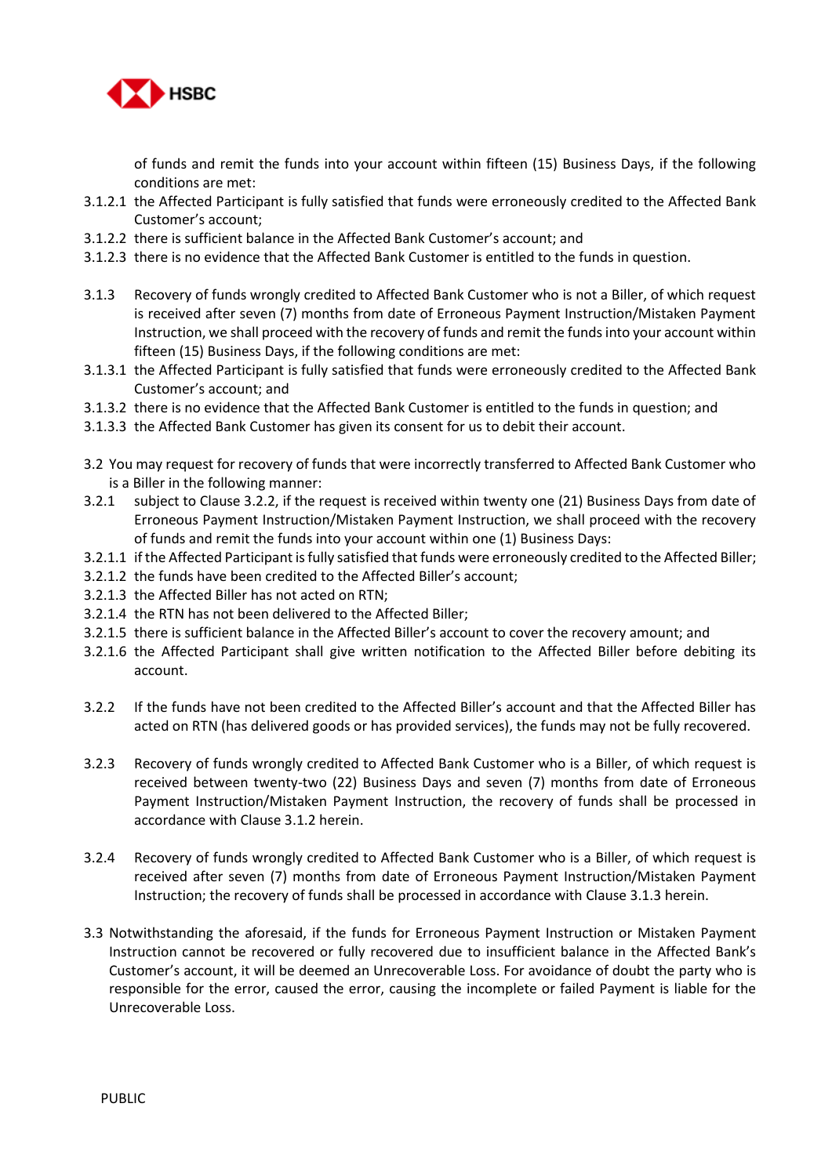

of funds and remit the funds into your account within fifteen (15) Business Days, if the following conditions are met:

- 3.1.2.1 the Affected Participant is fully satisfied that funds were erroneously credited to the Affected Bank Customer's account;
- 3.1.2.2 there is sufficient balance in the Affected Bank Customer's account; and
- 3.1.2.3 there is no evidence that the Affected Bank Customer is entitled to the funds in question.
- 3.1.3 Recovery of funds wrongly credited to Affected Bank Customer who is not a Biller, of which request is received after seven (7) months from date of Erroneous Payment Instruction/Mistaken Payment Instruction, we shall proceed with the recovery of funds and remit the funds into your account within fifteen (15) Business Days, if the following conditions are met:
- 3.1.3.1 the Affected Participant is fully satisfied that funds were erroneously credited to the Affected Bank Customer's account; and
- 3.1.3.2 there is no evidence that the Affected Bank Customer is entitled to the funds in question; and
- 3.1.3.3 the Affected Bank Customer has given its consent for us to debit their account.
- 3.2 You may request for recovery of funds that were incorrectly transferred to Affected Bank Customer who is a Biller in the following manner:
- 3.2.1 subject to Clause 3.2.2, if the request is received within twenty one (21) Business Days from date of Erroneous Payment Instruction/Mistaken Payment Instruction, we shall proceed with the recovery of funds and remit the funds into your account within one (1) Business Days:
- 3.2.1.1 if the Affected Participant is fully satisfied that funds were erroneously credited to the Affected Biller;
- 3.2.1.2 the funds have been credited to the Affected Biller's account;
- 3.2.1.3 the Affected Biller has not acted on RTN;
- 3.2.1.4 the RTN has not been delivered to the Affected Biller;
- 3.2.1.5 there is sufficient balance in the Affected Biller's account to cover the recovery amount; and
- 3.2.1.6 the Affected Participant shall give written notification to the Affected Biller before debiting its account.
- 3.2.2 If the funds have not been credited to the Affected Biller's account and that the Affected Biller has acted on RTN (has delivered goods or has provided services), the funds may not be fully recovered.
- 3.2.3 Recovery of funds wrongly credited to Affected Bank Customer who is a Biller, of which request is received between twenty-two (22) Business Days and seven (7) months from date of Erroneous Payment Instruction/Mistaken Payment Instruction, the recovery of funds shall be processed in accordance with Clause 3.1.2 herein.
- 3.2.4 Recovery of funds wrongly credited to Affected Bank Customer who is a Biller, of which request is received after seven (7) months from date of Erroneous Payment Instruction/Mistaken Payment Instruction; the recovery of funds shall be processed in accordance with Clause 3.1.3 herein.
- 3.3 Notwithstanding the aforesaid, if the funds for Erroneous Payment Instruction or Mistaken Payment Instruction cannot be recovered or fully recovered due to insufficient balance in the Affected Bank's Customer's account, it will be deemed an Unrecoverable Loss. For avoidance of doubt the party who is responsible for the error, caused the error, causing the incomplete or failed Payment is liable for the Unrecoverable Loss.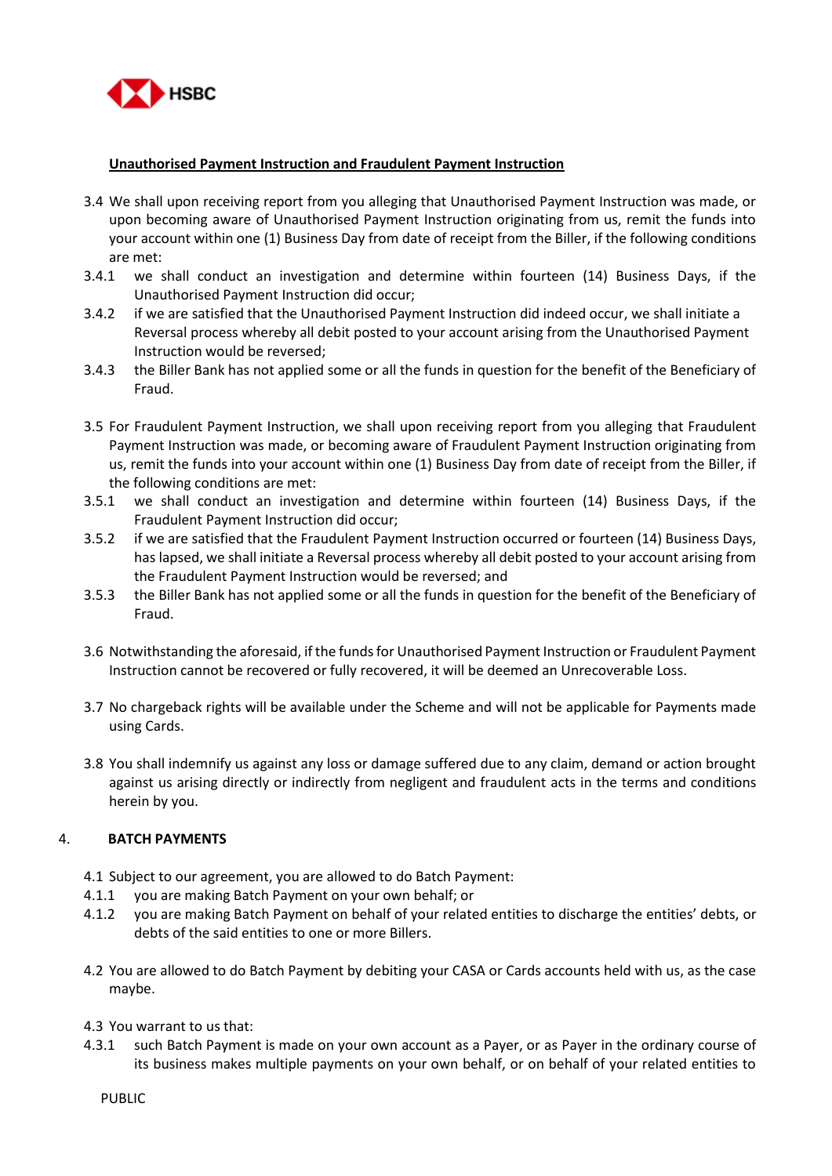

# **Unauthorised Payment Instruction and Fraudulent Payment Instruction**

- 3.4 We shall upon receiving report from you alleging that Unauthorised Payment Instruction was made, or upon becoming aware of Unauthorised Payment Instruction originating from us, remit the funds into your account within one (1) Business Day from date of receipt from the Biller, if the following conditions are met:
- 3.4.1 we shall conduct an investigation and determine within fourteen (14) Business Days, if the Unauthorised Payment Instruction did occur;
- 3.4.2 if we are satisfied that the Unauthorised Payment Instruction did indeed occur, we shall initiate a Reversal process whereby all debit posted to your account arising from the Unauthorised Payment Instruction would be reversed;
- 3.4.3 the Biller Bank has not applied some or all the funds in question for the benefit of the Beneficiary of Fraud.
- 3.5 For Fraudulent Payment Instruction, we shall upon receiving report from you alleging that Fraudulent Payment Instruction was made, or becoming aware of Fraudulent Payment Instruction originating from us, remit the funds into your account within one (1) Business Day from date of receipt from the Biller, if the following conditions are met:
- 3.5.1 we shall conduct an investigation and determine within fourteen (14) Business Days, if the Fraudulent Payment Instruction did occur;
- 3.5.2 if we are satisfied that the Fraudulent Payment Instruction occurred or fourteen (14) Business Days, has lapsed, we shall initiate a Reversal process whereby all debit posted to your account arising from the Fraudulent Payment Instruction would be reversed; and
- 3.5.3 the Biller Bank has not applied some or all the funds in question for the benefit of the Beneficiary of Fraud.
- 3.6 Notwithstanding the aforesaid, if the funds for Unauthorised Payment Instruction or Fraudulent Payment Instruction cannot be recovered or fully recovered, it will be deemed an Unrecoverable Loss.
- 3.7 No chargeback rights will be available under the Scheme and will not be applicable for Payments made using Cards.
- 3.8 You shall indemnify us against any loss or damage suffered due to any claim, demand or action brought against us arising directly or indirectly from negligent and fraudulent acts in the terms and conditions herein by you.

## 4. **BATCH PAYMENTS**

- 4.1 Subject to our agreement, you are allowed to do Batch Payment:
- 4.1.1 you are making Batch Payment on your own behalf; or
- 4.1.2 you are making Batch Payment on behalf of your related entities to discharge the entities' debts, or debts of the said entities to one or more Billers.
- 4.2 You are allowed to do Batch Payment by debiting your CASA or Cards accounts held with us, as the case maybe.
- 4.3 You warrant to us that:
- 4.3.1 such Batch Payment is made on your own account as a Payer, or as Payer in the ordinary course of its business makes multiple payments on your own behalf, or on behalf of your related entities to

PUBLIC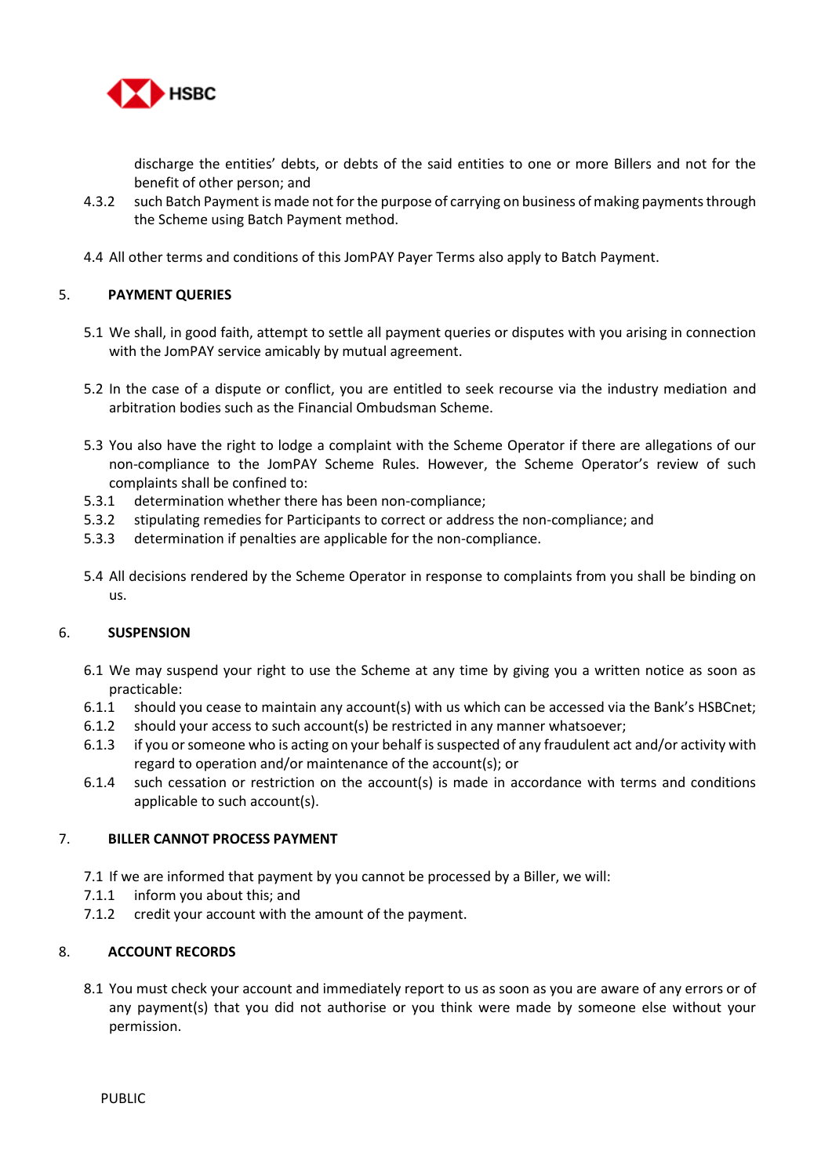

discharge the entities' debts, or debts of the said entities to one or more Billers and not for the benefit of other person; and

- 4.3.2 such Batch Payment is made not for the purpose of carrying on business of making payments through the Scheme using Batch Payment method.
- 4.4 All other terms and conditions of this JomPAY Payer Terms also apply to Batch Payment.

# 5. **PAYMENT QUERIES**

- 5.1 We shall, in good faith, attempt to settle all payment queries or disputes with you arising in connection with the JomPAY service amicably by mutual agreement.
- 5.2 In the case of a dispute or conflict, you are entitled to seek recourse via the industry mediation and arbitration bodies such as the Financial Ombudsman Scheme.
- 5.3 You also have the right to lodge a complaint with the Scheme Operator if there are allegations of our non-compliance to the JomPAY Scheme Rules. However, the Scheme Operator's review of such complaints shall be confined to:
- 5.3.1 determination whether there has been non-compliance;
- 5.3.2 stipulating remedies for Participants to correct or address the non-compliance; and
- 5.3.3 determination if penalties are applicable for the non-compliance.
- 5.4 All decisions rendered by the Scheme Operator in response to complaints from you shall be binding on us.

## 6. **SUSPENSION**

- 6.1 We may suspend your right to use the Scheme at any time by giving you a written notice as soon as practicable:
- 6.1.1 should you cease to maintain any account(s) with us which can be accessed via the Bank's HSBCnet;
- 6.1.2 should your access to such account(s) be restricted in any manner whatsoever;
- 6.1.3 if you or someone who is acting on your behalf is suspected of any fraudulent act and/or activity with regard to operation and/or maintenance of the account(s); or
- 6.1.4 such cessation or restriction on the account(s) is made in accordance with terms and conditions applicable to such account(s).

## 7. **BILLER CANNOT PROCESS PAYMENT**

- 7.1 If we are informed that payment by you cannot be processed by a Biller, we will:
- 7.1.1 inform you about this; and
- 7.1.2 credit your account with the amount of the payment.

# 8. **ACCOUNT RECORDS**

8.1 You must check your account and immediately report to us as soon as you are aware of any errors or of any payment(s) that you did not authorise or you think were made by someone else without your permission.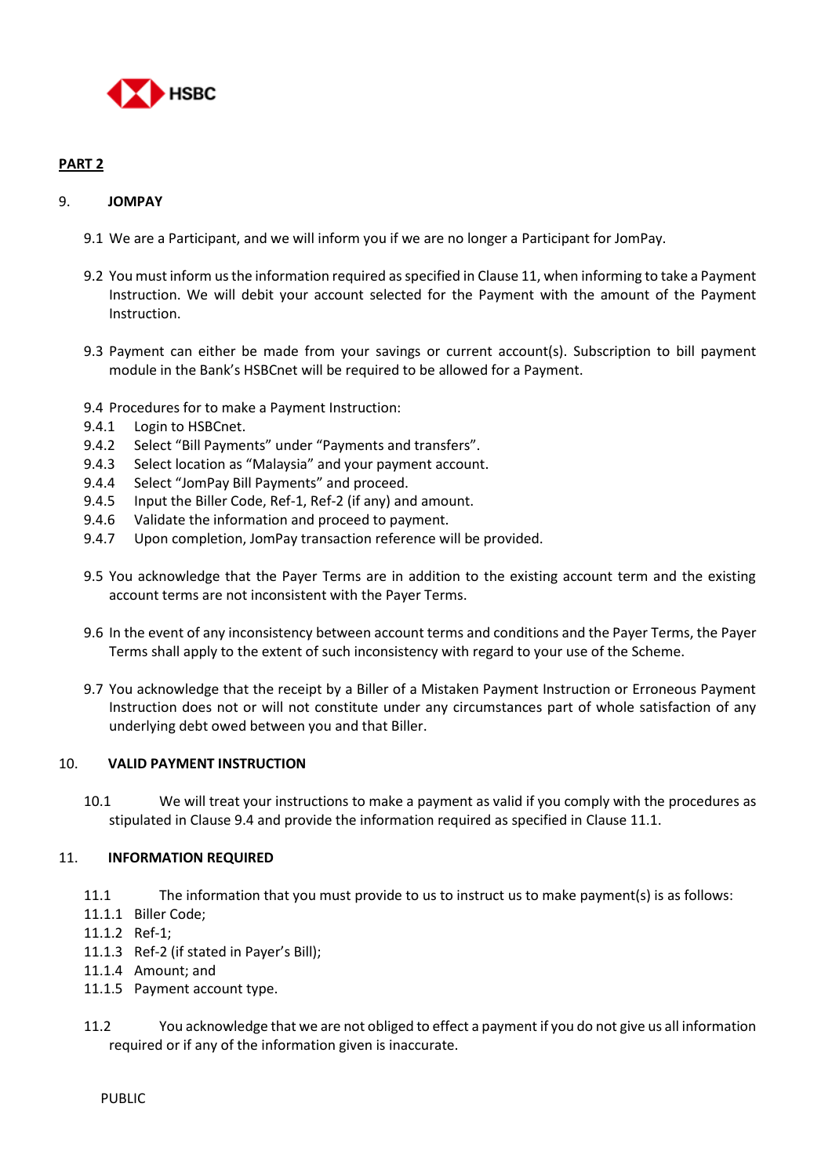

# **PART 2**

# 9. **JOMPAY**

- 9.1 We are a Participant, and we will inform you if we are no longer a Participant for JomPay.
- 9.2 You must inform us the information required as specified in Clause 11, when informing to take a Payment Instruction. We will debit your account selected for the Payment with the amount of the Payment Instruction.
- 9.3 Payment can either be made from your savings or current account(s). Subscription to bill payment module in the Bank's HSBCnet will be required to be allowed for a Payment.
- 9.4 Procedures for to make a Payment Instruction:
- 9.4.1 Login to HSBCnet.
- 9.4.2 Select "Bill Payments" under "Payments and transfers".
- 9.4.3 Select location as "Malaysia" and your payment account.
- 9.4.4 Select "JomPay Bill Payments" and proceed.
- 9.4.5 Input the Biller Code, Ref-1, Ref-2 (if any) and amount.
- 9.4.6 Validate the information and proceed to payment.
- 9.4.7 Upon completion, JomPay transaction reference will be provided.
- 9.5 You acknowledge that the Payer Terms are in addition to the existing account term and the existing account terms are not inconsistent with the Payer Terms.
- 9.6 In the event of any inconsistency between account terms and conditions and the Payer Terms, the Payer Terms shall apply to the extent of such inconsistency with regard to your use of the Scheme.
- 9.7 You acknowledge that the receipt by a Biller of a Mistaken Payment Instruction or Erroneous Payment Instruction does not or will not constitute under any circumstances part of whole satisfaction of any underlying debt owed between you and that Biller.

## 10. **VALID PAYMENT INSTRUCTION**

10.1 We will treat your instructions to make a payment as valid if you comply with the procedures as stipulated in Clause 9.4 and provide the information required as specified in Clause 11.1.

## 11. **INFORMATION REQUIRED**

- 11.1 The information that you must provide to us to instruct us to make payment(s) is as follows:
- 11.1.1 Biller Code;
- 11.1.2 Ref-1;
- 11.1.3 Ref-2 (if stated in Payer's Bill);
- 11.1.4 Amount; and
- 11.1.5 Payment account type.
- 11.2 You acknowledge that we are not obliged to effect a payment if you do not give us all information required or if any of the information given is inaccurate.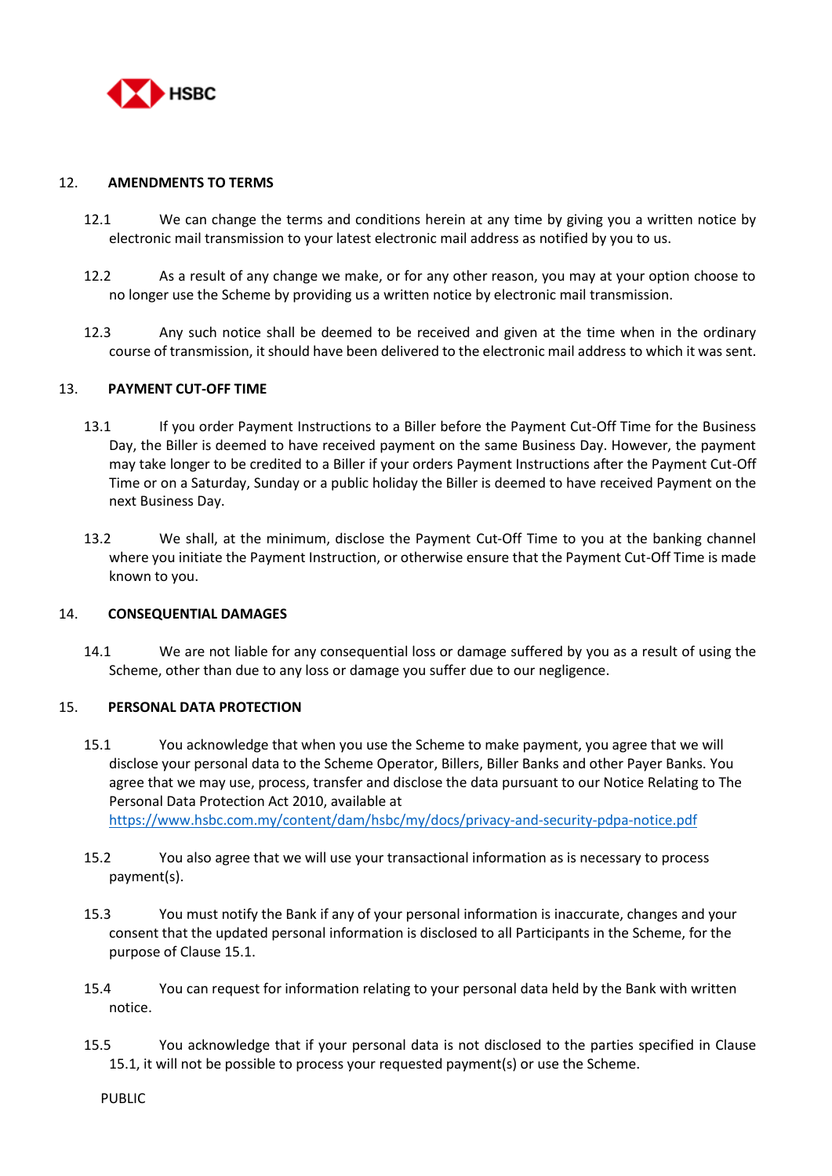

### 12. **AMENDMENTS TO TERMS**

- 12.1 We can change the terms and conditions herein at any time by giving you a written notice by electronic mail transmission to your latest electronic mail address as notified by you to us.
- 12.2 As a result of any change we make, or for any other reason, you may at your option choose to no longer use the Scheme by providing us a written notice by electronic mail transmission.
- 12.3 Any such notice shall be deemed to be received and given at the time when in the ordinary course of transmission, it should have been delivered to the electronic mail address to which it was sent.

#### 13. **PAYMENT CUT-OFF TIME**

- 13.1 If you order Payment Instructions to a Biller before the Payment Cut-Off Time for the Business Day, the Biller is deemed to have received payment on the same Business Day. However, the payment may take longer to be credited to a Biller if your orders Payment Instructions after the Payment Cut-Off Time or on a Saturday, Sunday or a public holiday the Biller is deemed to have received Payment on the next Business Day.
- 13.2 We shall, at the minimum, disclose the Payment Cut-Off Time to you at the banking channel where you initiate the Payment Instruction, or otherwise ensure that the Payment Cut-Off Time is made known to you.

#### 14. **CONSEQUENTIAL DAMAGES**

14.1 We are not liable for any consequential loss or damage suffered by you as a result of using the Scheme, other than due to any loss or damage you suffer due to our negligence.

#### 15. **PERSONAL DATA PROTECTION**

- 15.1 You acknowledge that when you use the Scheme to make payment, you agree that we will disclose your personal data to the Scheme Operator, Billers, Biller Banks and other Payer Banks. You agree that we may use, process, transfer and disclose the data pursuant to our Notice Relating to The Personal Data Protection Act 2010, available at <https://www.hsbc.com.my/content/dam/hsbc/my/docs/privacy-and-security-pdpa-notice.pdf>
- 15.2 You also agree that we will use your transactional information as is necessary to process payment(s).
- 15.3 You must notify the Bank if any of your personal information is inaccurate, changes and your consent that the updated personal information is disclosed to all Participants in the Scheme, for the purpose of Clause 15.1.
- 15.4 You can request for information relating to your personal data held by the Bank with written notice.
- 15.5 You acknowledge that if your personal data is not disclosed to the parties specified in Clause 15.1, it will not be possible to process your requested payment(s) or use the Scheme.

PUBLIC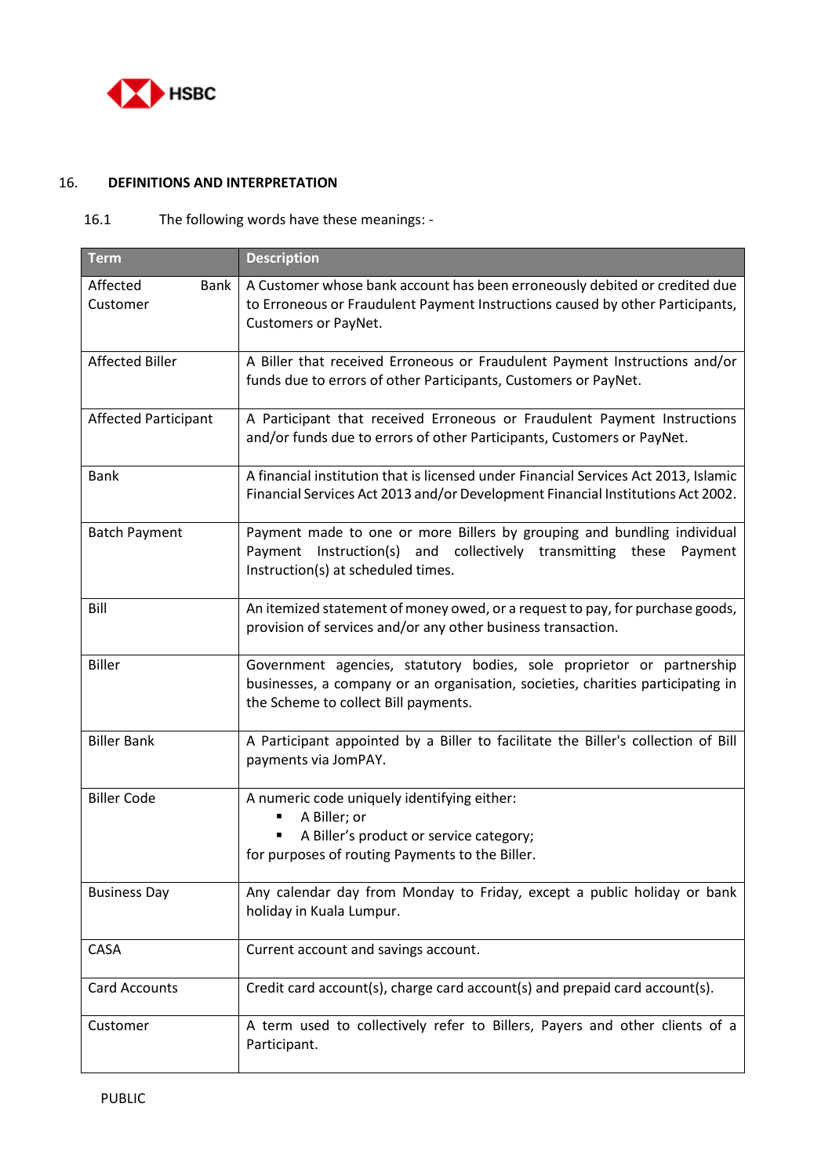

# 16. **DEFINITIONS AND INTERPRETATION**

# 16.1 The following words have these meanings: -

| <b>Term</b>                         | <b>Description</b>                                                                                                                                                                               |  |
|-------------------------------------|--------------------------------------------------------------------------------------------------------------------------------------------------------------------------------------------------|--|
| Affected<br><b>Bank</b><br>Customer | A Customer whose bank account has been erroneously debited or credited due<br>to Erroneous or Fraudulent Payment Instructions caused by other Participants,<br>Customers or PayNet.              |  |
| <b>Affected Biller</b>              | A Biller that received Erroneous or Fraudulent Payment Instructions and/or<br>funds due to errors of other Participants, Customers or PayNet.                                                    |  |
| <b>Affected Participant</b>         | A Participant that received Erroneous or Fraudulent Payment Instructions<br>and/or funds due to errors of other Participants, Customers or PayNet.                                               |  |
| <b>Bank</b>                         | A financial institution that is licensed under Financial Services Act 2013, Islamic<br>Financial Services Act 2013 and/or Development Financial Institutions Act 2002.                           |  |
| <b>Batch Payment</b>                | Payment made to one or more Billers by grouping and bundling individual<br>Instruction(s) and collectively transmitting these<br>Payment<br>Payment<br>Instruction(s) at scheduled times.        |  |
| Bill                                | An itemized statement of money owed, or a request to pay, for purchase goods,<br>provision of services and/or any other business transaction.                                                    |  |
| <b>Biller</b>                       | Government agencies, statutory bodies, sole proprietor or partnership<br>businesses, a company or an organisation, societies, charities participating in<br>the Scheme to collect Bill payments. |  |
| <b>Biller Bank</b>                  | A Participant appointed by a Biller to facilitate the Biller's collection of Bill<br>payments via JomPAY.                                                                                        |  |
| <b>Biller Code</b>                  | A numeric code uniquely identifying either:<br>A Biller; or<br>٠<br>A Biller's product or service category;<br>for purposes of routing Payments to the Biller.                                   |  |
| <b>Business Day</b>                 | Any calendar day from Monday to Friday, except a public holiday or bank<br>holiday in Kuala Lumpur.                                                                                              |  |
| CASA                                | Current account and savings account.                                                                                                                                                             |  |
| <b>Card Accounts</b>                | Credit card account(s), charge card account(s) and prepaid card account(s).                                                                                                                      |  |
| Customer                            | A term used to collectively refer to Billers, Payers and other clients of a<br>Participant.                                                                                                      |  |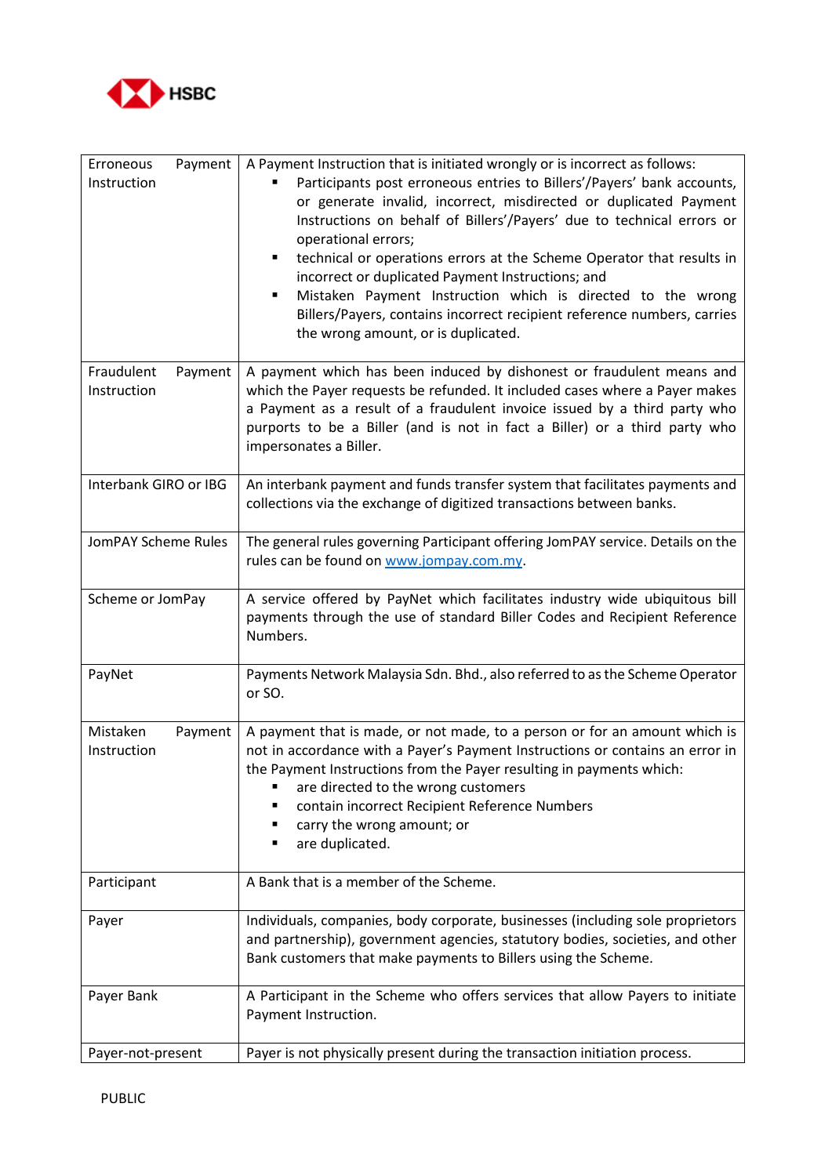

| Payment<br>Erroneous<br>Instruction  | A Payment Instruction that is initiated wrongly or is incorrect as follows:<br>Participants post erroneous entries to Billers'/Payers' bank accounts,<br>or generate invalid, incorrect, misdirected or duplicated Payment<br>Instructions on behalf of Billers'/Payers' due to technical errors or<br>operational errors;<br>technical or operations errors at the Scheme Operator that results in<br>٠<br>incorrect or duplicated Payment Instructions; and<br>Mistaken Payment Instruction which is directed to the wrong<br>٠<br>Billers/Payers, contains incorrect recipient reference numbers, carries<br>the wrong amount, or is duplicated. |  |  |  |  |
|--------------------------------------|-----------------------------------------------------------------------------------------------------------------------------------------------------------------------------------------------------------------------------------------------------------------------------------------------------------------------------------------------------------------------------------------------------------------------------------------------------------------------------------------------------------------------------------------------------------------------------------------------------------------------------------------------------|--|--|--|--|
| Fraudulent<br>Payment<br>Instruction | A payment which has been induced by dishonest or fraudulent means and<br>which the Payer requests be refunded. It included cases where a Payer makes<br>a Payment as a result of a fraudulent invoice issued by a third party who<br>purports to be a Biller (and is not in fact a Biller) or a third party who<br>impersonates a Biller.                                                                                                                                                                                                                                                                                                           |  |  |  |  |
| Interbank GIRO or IBG                | An interbank payment and funds transfer system that facilitates payments and<br>collections via the exchange of digitized transactions between banks.                                                                                                                                                                                                                                                                                                                                                                                                                                                                                               |  |  |  |  |
| JomPAY Scheme Rules                  | The general rules governing Participant offering JomPAY service. Details on the<br>rules can be found on www.jompay.com.my.                                                                                                                                                                                                                                                                                                                                                                                                                                                                                                                         |  |  |  |  |
| Scheme or JomPay                     | A service offered by PayNet which facilitates industry wide ubiquitous bill<br>payments through the use of standard Biller Codes and Recipient Reference<br>Numbers.                                                                                                                                                                                                                                                                                                                                                                                                                                                                                |  |  |  |  |
| PayNet                               | Payments Network Malaysia Sdn. Bhd., also referred to as the Scheme Operator<br>or SO.                                                                                                                                                                                                                                                                                                                                                                                                                                                                                                                                                              |  |  |  |  |
| Mistaken<br>Payment<br>Instruction   | A payment that is made, or not made, to a person or for an amount which is<br>not in accordance with a Payer's Payment Instructions or contains an error in<br>the Payment Instructions from the Payer resulting in payments which:<br>are directed to the wrong customers<br>contain incorrect Recipient Reference Numbers<br>carry the wrong amount; or<br>are duplicated.<br>٠                                                                                                                                                                                                                                                                   |  |  |  |  |
| Participant                          | A Bank that is a member of the Scheme.                                                                                                                                                                                                                                                                                                                                                                                                                                                                                                                                                                                                              |  |  |  |  |
| Payer                                | Individuals, companies, body corporate, businesses (including sole proprietors<br>and partnership), government agencies, statutory bodies, societies, and other<br>Bank customers that make payments to Billers using the Scheme.                                                                                                                                                                                                                                                                                                                                                                                                                   |  |  |  |  |
| Payer Bank                           | A Participant in the Scheme who offers services that allow Payers to initiate<br>Payment Instruction.                                                                                                                                                                                                                                                                                                                                                                                                                                                                                                                                               |  |  |  |  |
| Payer-not-present                    | Payer is not physically present during the transaction initiation process.                                                                                                                                                                                                                                                                                                                                                                                                                                                                                                                                                                          |  |  |  |  |